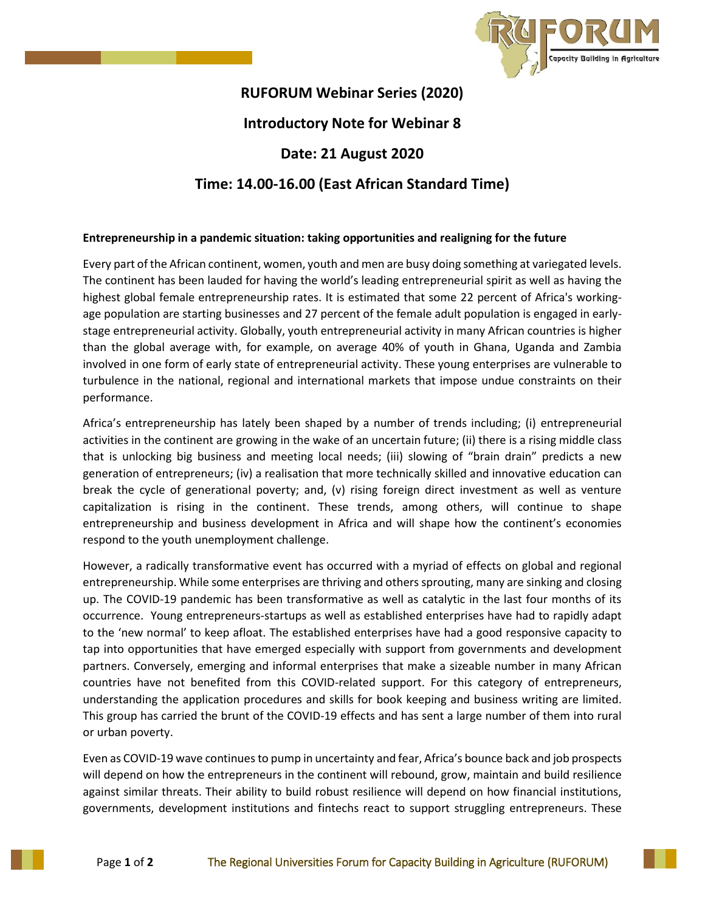

## **RUFORUM Webinar Series (2020) Introductory Note for Webinar 8 Date: 21 August 2020 Time: 14.00-16.00 (East African Standard Time)**

## **Entrepreneurship in a pandemic situation: taking opportunities and realigning for the future**

Every part of the African continent, women, youth and men are busy doing something at variegated levels. The continent has been lauded for having the world's leading entrepreneurial spirit as well as having the highest global female entrepreneurship rates. It is estimated that some 22 percent of Africa's workingage population are starting businesses and 27 percent of the female adult population is engaged in earlystage entrepreneurial activity. Globally, youth entrepreneurial activity in many African countries is higher than the global average with, for example, on average 40% of youth in Ghana, Uganda and Zambia involved in one form of early state of entrepreneurial activity. These young enterprises are vulnerable to turbulence in the national, regional and international markets that impose undue constraints on their performance.

Africa's entrepreneurship has lately been shaped by a number of trends including; (i) entrepreneurial activities in the continent are growing in the wake of an uncertain future; (ii) there is a rising middle class that is unlocking big business and meeting local needs; (iii) slowing of "brain drain" predicts a new generation of entrepreneurs; (iv) a realisation that more technically skilled and innovative education can break the cycle of generational poverty; and, (v) rising foreign direct investment as well as venture capitalization is rising in the continent. These trends, among others, will continue to shape entrepreneurship and business development in Africa and will shape how the continent's economies respond to the youth unemployment challenge.

However, a radically transformative event has occurred with a myriad of effects on global and regional entrepreneurship. While some enterprises are thriving and others sprouting, many are sinking and closing up. The COVID-19 pandemic has been transformative as well as catalytic in the last four months of its occurrence. Young entrepreneurs-startups as well as established enterprises have had to rapidly adapt to the 'new normal' to keep afloat. The established enterprises have had a good responsive capacity to tap into opportunities that have emerged especially with support from governments and development partners. Conversely, emerging and informal enterprises that make a sizeable number in many African countries have not benefited from this COVID-related support. For this category of entrepreneurs, understanding the application procedures and skills for book keeping and business writing are limited. This group has carried the brunt of the COVID-19 effects and has sent a large number of them into rural or urban poverty.

Even as COVID-19 wave continues to pump in uncertainty and fear, Africa's bounce back and job prospects will depend on how the entrepreneurs in the continent will rebound, grow, maintain and build resilience against similar threats. Their ability to build robust resilience will depend on how financial institutions, governments, development institutions and fintechs react to support struggling entrepreneurs. These